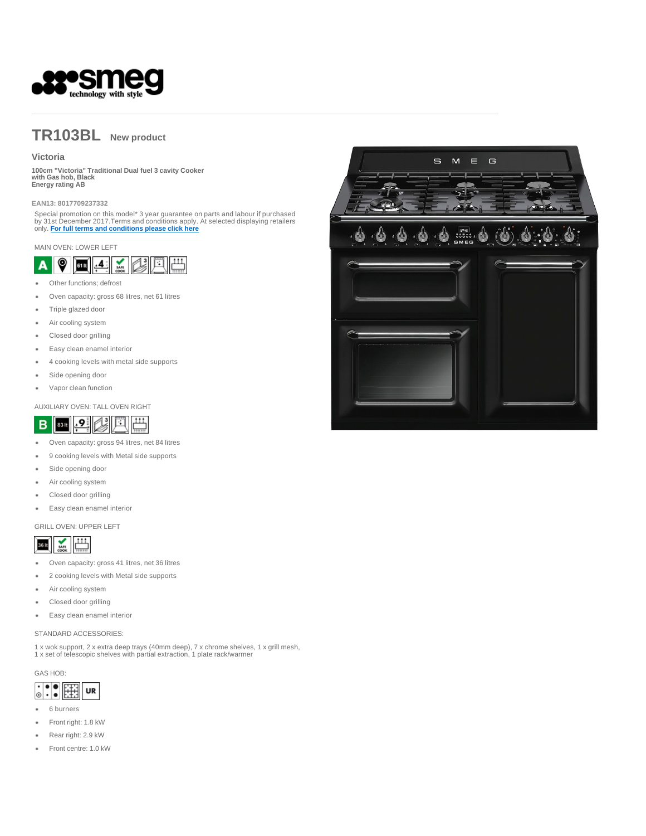

# **TR103BL New product**

# **Victoria**

**100cm "Victoria" Traditional Dual fuel 3 cavity Cooker with Gas hob, Black Energy rating AB** 

#### **EAN13: 8017709237332**

Special promotion on this model\* 3 year guarantee on parts and labour if purchased<br>by 31st December 2017.Terms and conditions apply. At selected displaying retailers<br>only. <mark>For full terms and conditions please click here</mark>

#### MAIN OVEN: LOWER LEFT



- Other functions; defrost  $\overline{a}$
- Oven capacity: gross 68 litres, net 61 litres ٠
- Triple glazed door
- Air cooling system
- Closed door grilling  $\ddot{\phantom{a}}$
- Easy clean enamel interior
- 4 cooking levels with metal side supports
- $\bullet$ Side opening door
- Vapor clean function  $\ddot{\phantom{a}}$

### AUXILIARY OVEN: TALL OVEN RIGHT



- $\bullet$ Oven capacity: gross 94 litres, net 84 litres
- 9 cooking levels with Metal side supports ٠
- Side opening door
- Air cooling system
- Closed door grilling
- Easy clean enamel interior  $\bullet$

### GRILL OVEN: UPPER LEFT



- Oven capacity: gross 41 litres, net 36 litres  $\bullet$
- 2 cooking levels with Metal side supports  $\ddot{\phantom{a}}$
- Air cooling system ٠
- Closed door grilling
- Easy clean enamel interior  $\bullet$

## STANDARD ACCESSORIES:

1 x wok support, 2 x extra deep trays (40mm deep), 7 x chrome shelves, 1 x grill mesh, 1 x set of telescopic shelves with partial extraction, 1 plate rack/warmer

GAS HOB:



- 6 burners  $\bullet$
- Front right: 1.8 kW ٠
- Rear right: 2.9 kW
- Front centre: 1.0 kW $\ddot{\phantom{0}}$

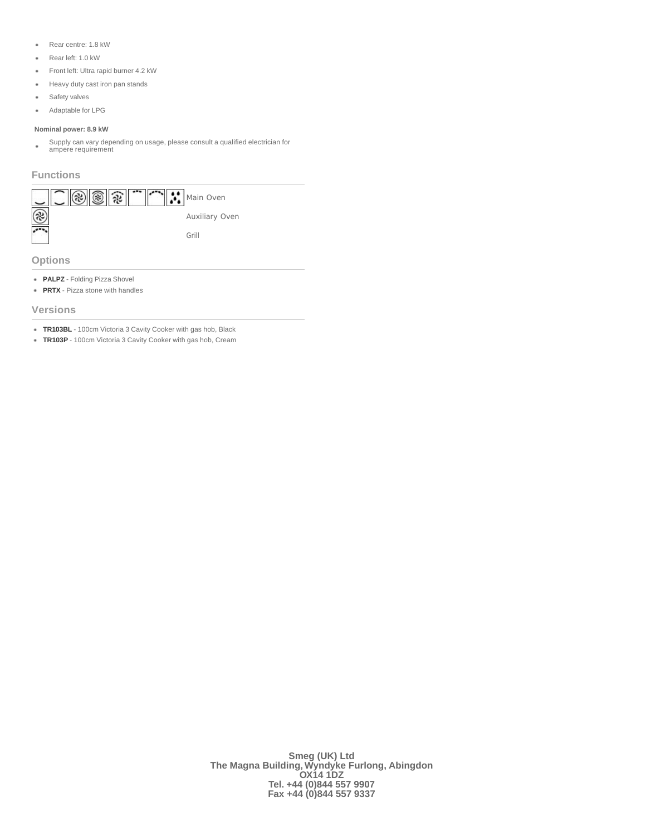- Rear centre: 1.8 kW
- Rear left: 1.0 kW
- Front left: Ultra rapid burner 4.2 kW
- **Heavy duty cast iron pan stands**
- $\bullet$ Safety valves
- Adaptable for LPG  $\bullet$

### **Nominal power: 8.9 kW**

Supply can vary depending on usage, please consult a qualified electrician for ampere requirement  $\bullet$ 

# **Functions**



**Options**

- **PALPZ** Folding Pizza Shovel
- **PRTX** Pizza stone with handles

## **Versions**

- **TR103BL** 100cm Victoria 3 Cavity Cooker with gas hob, Black
- **TR103P** 100cm Victoria 3 Cavity Cooker with gas hob, Cream

**Smeg (UK) Ltd The Magna Building, Wyndyke Furlong, Abingdon OX14 1DZ Tel. +44 (0)844 557 9907 Fax +44 (0)844 557 9337**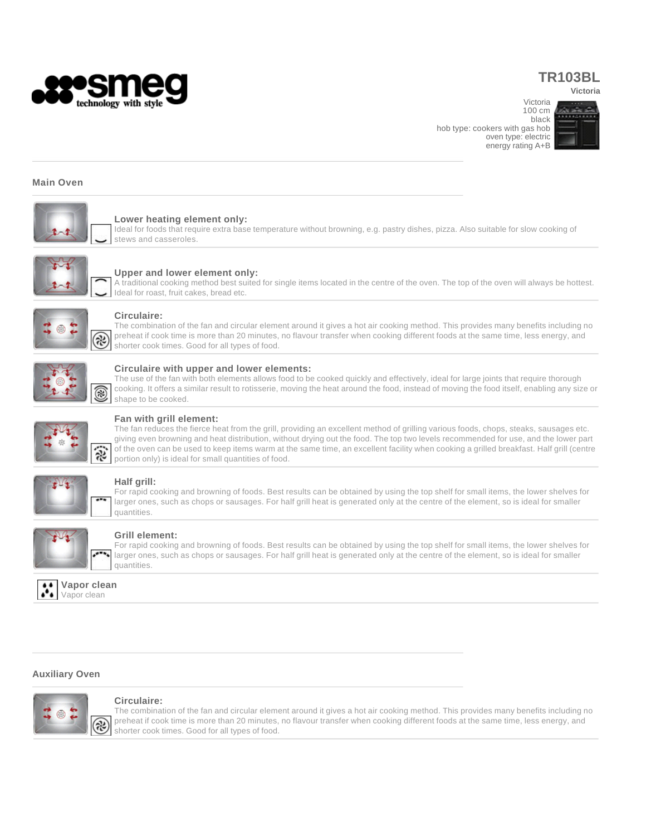

# **TR103BL**

Victoria

**Victoria** 

100 cm black hob type: cookers with gas hob oven type: electric energy rating A+B



## **Main Oven**



# **Lower heating element only:**

Ideal for foods that require extra base temperature without browning, e.g. pastry dishes, pizza. Also suitable for slow cooking of stews and casseroles.



## **Upper and lower element only:**

A traditional cooking method best suited for single items located in the centre of the oven. The top of the oven will always be hottest. Ideal for roast, fruit cakes, bread etc.



### **Circulaire:**

The combination of the fan and circular element around it gives a hot air cooking method. This provides many benefits including no preheat if cook time is more than 20 minutes, no flavour transfer when cooking different foods at the same time, less energy, and shorter cook times. Good for all types of food.



#### **Circulaire with upper and lower elements:**

The use of the fan with both elements allows food to be cooked quickly and effectively, ideal for large joints that require thorough cooking. It offers a similar result to rotisserie, moving the heat around the food, instead of moving the food itself, enabling any size or shape to be cooked.



## **Fan with grill element:**

The fan reduces the fierce heat from the grill, providing an excellent method of grilling various foods, chops, steaks, sausages etc. giving even browning and heat distribution, without drying out the food. The top two levels recommended for use, and the lower part of the oven can be used to keep items warm at the same time, an excellent facility when cooking a grilled breakfast. Half grill (centre portion only) is ideal for small quantities of food.



## **Half grill:**

For rapid cooking and browning of foods. Best results can be obtained by using the top shelf for small items, the lower shelves for larger ones, such as chops or sausages. For half grill heat is generated only at the centre of the element, so is ideal for smaller quantities.



### **Grill element:**

For rapid cooking and browning of foods. Best results can be obtained by using the top shelf for small items, the lower shelves for larger ones, such as chops or sausages. For half grill heat is generated only at the centre of the element, so is ideal for smaller quantities.



# **Auxiliary Oven**



#### **Circulaire:**

The combination of the fan and circular element around it gives a hot air cooking method. This provides many benefits including no preheat if cook time is more than 20 minutes, no flavour transfer when cooking different foods at the same time, less energy, and shorter cook times. Good for all types of food.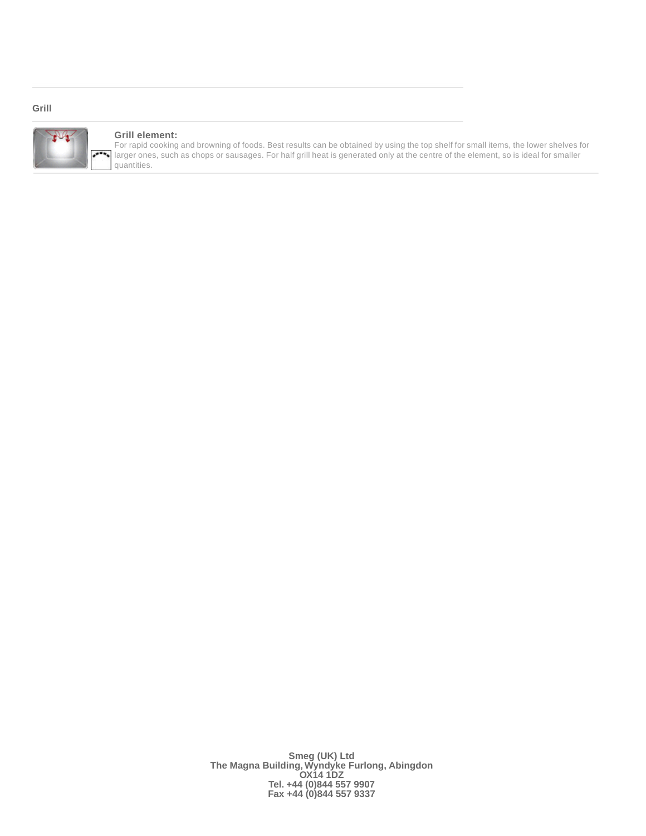# **Grill**



# **Grill element:**

For rapid cooking and browning of foods. Best results can be obtained by using the top shelf for small items, the lower shelves for larger ones, such as chops or sausages. For half grill heat is generated only at the centre of the element, so is ideal for smaller quantities.

> **Smeg (UK) Ltd The Magna Building, Wyndyke Furlong, Abingdon OX14 1DZ Tel. +44 (0)844 557 9907 Fax +44 (0)844 557 9337**